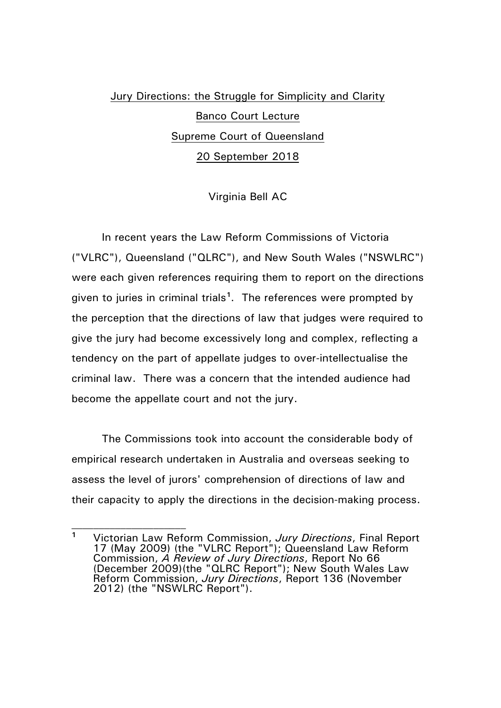## Jury Directions: the Struggle for Simplicity and Clarity Banco Court Lecture Supreme Court of Queensland 20 September 2018

Virginia Bell AC

In recent years the Law Reform Commissions of Victoria ("VLRC"), Queensland ("QLRC"), and New South Wales ("NSWLRC") were each given references requiring them to report on the directions given to juries in criminal trials**[1](#page-0-0)** . The references were prompted by the perception that the directions of law that judges were required to give the jury had become excessively long and complex, reflecting a tendency on the part of appellate judges to over-intellectualise the criminal law. There was a concern that the intended audience had become the appellate court and not the jury.

The Commissions took into account the considerable body of empirical research undertaken in Australia and overseas seeking to assess the level of jurors' comprehension of directions of law and their capacity to apply the directions in the decision-making process.

<span id="page-0-0"></span>**<sup>1</sup>** Victorian Law Reform Commission, *Jury Directions*, Final Report 17 (May 2009) (the "VLRC Report"); Queensland Law Reform Commission, *A Review of Jury Directions*, Report No 66 (December 2009)(the "QLRC Report"); New South Wales Law Reform Commission, *Jury Directions*, Report 136 (November 2012) (the "NSWLRC Report").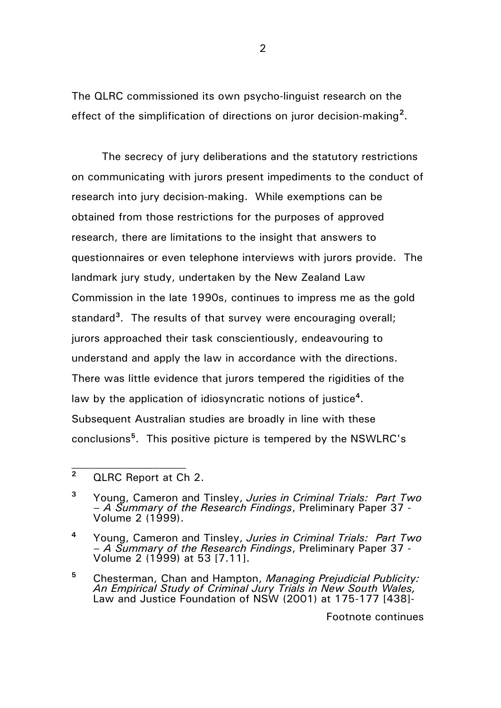The QLRC commissioned its own psycho-linguist research on the effect of the simplification of directions on juror decision-making**[2](#page-1-0)** .

The secrecy of jury deliberations and the statutory restrictions on communicating with jurors present impediments to the conduct of research into jury decision-making. While exemptions can be obtained from those restrictions for the purposes of approved research, there are limitations to the insight that answers to questionnaires or even telephone interviews with jurors provide. The landmark jury study, undertaken by the New Zealand Law Commission in the late 1990s, continues to impress me as the gold standard**[3](#page-1-1)**. The results of that survey were encouraging overall; jurors approached their task conscientiously, endeavouring to understand and apply the law in accordance with the directions. There was little evidence that jurors tempered the rigidities of the law by the application of idiosyncratic notions of justice**[4](#page-1-2)**. Subsequent Australian studies are broadly in line with these conclusions**[5](#page-1-3)**. This positive picture is tempered by the NSWLRC's

 $\mathcal{L}_\text{max}$ 

<span id="page-1-0"></span>**<sup>2</sup>** QLRC Report at Ch 2.

<span id="page-1-1"></span>**<sup>3</sup>** Young, Cameron and Tinsley, *Juries in Criminal Trials: Part Two – A Summary of the Research Findings*, Preliminary Paper 37 - Volume 2 (1999).

<span id="page-1-2"></span>**<sup>4</sup>** Young, Cameron and Tinsley, *Juries in Criminal Trials: Part Two – A Summary of the Research Findings*, Preliminary Paper 37 - Volume 2 (1999) at 53 [7.11].

<span id="page-1-3"></span>**<sup>5</sup>** Chesterman, Chan and Hampton, *Managing Prejudicial Publicity: An Empirical Study of Criminal Jury Trials in New South Wales,* Law and Justice Foundation of NSW (2001) at 175-177 [438]-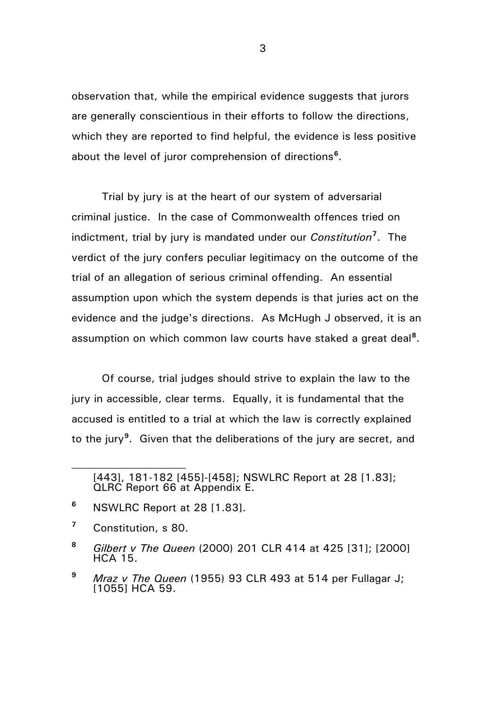observation that, while the empirical evidence suggests that jurors are generally conscientious in their efforts to follow the directions, which they are reported to find helpful, the evidence is less positive about the level of juror comprehension of directions**[6](#page-2-0)**.

Trial by jury is at the heart of our system of adversarial criminal justice. In the case of Commonwealth offences tried on indictment, trial by jury is mandated under our *Constitution***[7](#page-2-1)** . The verdict of the jury confers peculiar legitimacy on the outcome of the trial of an allegation of serious criminal offending. An essential assumption upon which the system depends is that juries act on the evidence and the judge's directions. As McHugh J observed, it is an assumption on which common law courts have staked a great deal**[8](#page-2-2)**.

Of course, trial judges should strive to explain the law to the jury in accessible, clear terms. Equally, it is fundamental that the accused is entitled to a trial at which the law is correctly explained to the jury**[9](#page-2-3)**. Given that the deliberations of the jury are secret, and

- <span id="page-2-0"></span>**<sup>6</sup>** NSWLRC Report at 28 [1.83].
- <span id="page-2-1"></span>**<sup>7</sup>** Constitution, s 80.

 $\mathcal{L}_\text{max}$ 

<span id="page-2-2"></span>**<sup>8</sup>** *Gilbert v The Queen* (2000) 201 CLR 414 at 425 [31]; [2000] HCA 15.

<sup>[443], 181-182 [455]-[458];</sup> NSWLRC Report at 28 [1.83]; QLRC Report 66 at Appendix E.

<span id="page-2-3"></span>**<sup>9</sup>** *Mraz v The Queen* (1955) 93 CLR 493 at 514 per Fullagar J; [1055] HCA 59.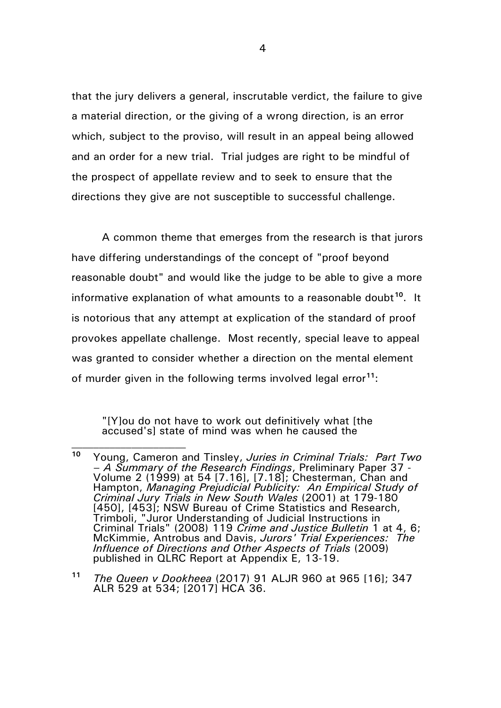that the jury delivers a general, inscrutable verdict, the failure to give a material direction, or the giving of a wrong direction, is an error which, subject to the proviso, will result in an appeal being allowed and an order for a new trial. Trial judges are right to be mindful of the prospect of appellate review and to seek to ensure that the directions they give are not susceptible to successful challenge.

A common theme that emerges from the research is that jurors have differing understandings of the concept of "proof beyond reasonable doubt" and would like the judge to be able to give a more informative explanation of what amounts to a reasonable doubt**[10](#page-3-0)**. It is notorious that any attempt at explication of the standard of proof provokes appellate challenge. Most recently, special leave to appeal was granted to consider whether a direction on the mental element of murder given in the following terms involved legal error**[11](#page-3-1)**:

"[Y]ou do not have to work out definitively what [the accused's] state of mind was when he caused the

<span id="page-3-0"></span>**<sup>10</sup>** Young, Cameron and Tinsley, *Juries in Criminal Trials: Part Two – A Summary of the Research Findings*, Preliminary Paper 37 - Volume 2 (1999) at 54 [7.16], [7.18]; Chesterman, Chan and Hampton, *Managing Prejudicial Publicity: An Empirical Study of Criminal Jury Trials in New South Wales* (2001) at 179-180 [450], [453]; NSW Bureau of Crime Statistics and Research, Trimboli, "Juror Understanding of Judicial Instructions in Criminal Trials" (2008) 119 *Crime and Justice Bulletin* 1 at 4, 6; McKimmie, Antrobus and Davis, *Jurors' Trial Experiences: The Influence of Directions and Other Aspects of Trials* (2009) published in QLRC Report at Appendix E, 13-19.

<span id="page-3-1"></span>**<sup>11</sup>** *The Queen v Dookheea* (2017) 91 ALJR 960 at 965 [16]; 347 ALR 529 at 534; [2017] HCA 36.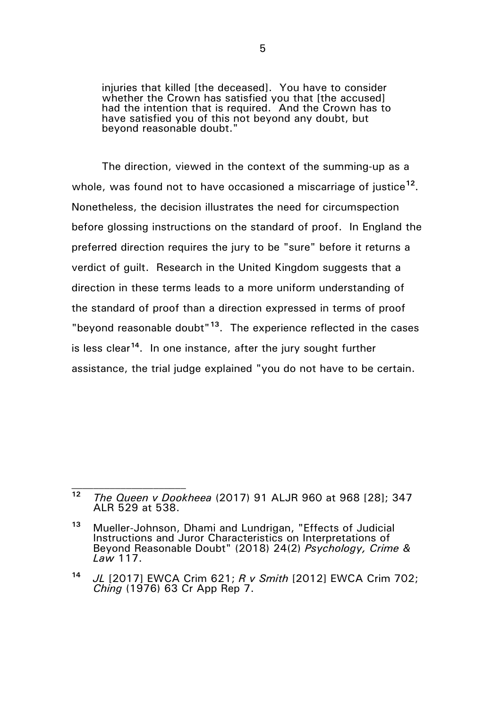injuries that killed [the deceased]. You have to consider whether the Crown has satisfied you that [the accused] had the intention that is required. And the Crown has to have satisfied you of this not beyond any doubt, but beyond reasonable doubt."

The direction, viewed in the context of the summing-up as a whole, was found not to have occasioned a miscarriage of justice**[12](#page-4-0)**. Nonetheless, the decision illustrates the need for circumspection before glossing instructions on the standard of proof. In England the preferred direction requires the jury to be "sure" before it returns a verdict of guilt. Research in the United Kingdom suggests that a direction in these terms leads to a more uniform understanding of the standard of proof than a direction expressed in terms of proof "beyond reasonable doubt"**[13](#page-4-1)**. The experience reflected in the cases is less clear**[14](#page-4-2)**. In one instance, after the jury sought further assistance, the trial judge explained "you do not have to be certain.

<span id="page-4-0"></span>**<sup>12</sup>** *The Queen v Dookheea* (2017) 91 ALJR 960 at 968 [28]; 347 ALR 529 at 538.

<span id="page-4-1"></span>**<sup>13</sup>** Mueller-Johnson, Dhami and Lundrigan, "Effects of Judicial Instructions and Juror Characteristics on Interpretations of Beyond Reasonable Doubt" (2018) 24(2) *Psychology, Crime & Law* 117.

<span id="page-4-2"></span>**<sup>14</sup>** *JL* [2017] EWCA Crim 621; *R v Smith* [2012] EWCA Crim 702; *Ching* (1976) 63 Cr App Rep 7.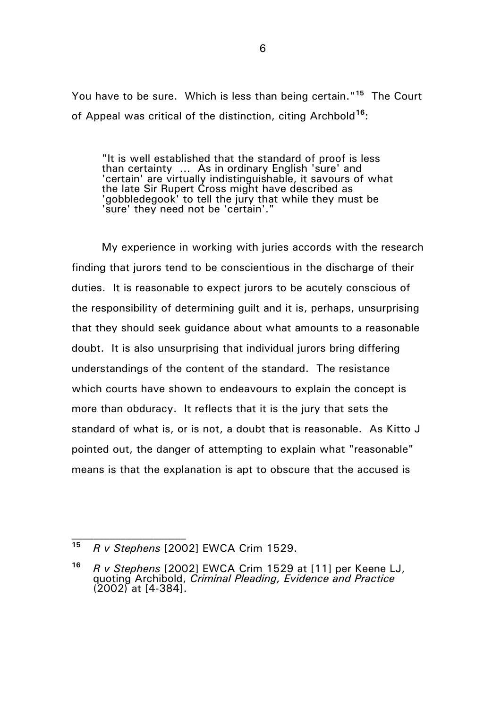You have to be sure. Which is less than being certain."**[15](#page-5-0)** The Court of Appeal was critical of the distinction, citing Archbold**[16](#page-5-1)**:

"It is well established that the standard of proof is less than certainty … As in ordinary English 'sure' and 'certain' are virtually indistinguishable, it savours of what the late Sir Rupert Cross might have described as 'gobbledegook' to tell the jury that while they must be 'sure' they need not be 'certain'."

My experience in working with juries accords with the research finding that jurors tend to be conscientious in the discharge of their duties. It is reasonable to expect jurors to be acutely conscious of the responsibility of determining guilt and it is, perhaps, unsurprising that they should seek guidance about what amounts to a reasonable doubt. It is also unsurprising that individual jurors bring differing understandings of the content of the standard. The resistance which courts have shown to endeavours to explain the concept is more than obduracy. It reflects that it is the jury that sets the standard of what is, or is not, a doubt that is reasonable. As Kitto J pointed out, the danger of attempting to explain what "reasonable" means is that the explanation is apt to obscure that the accused is

<span id="page-5-0"></span>**<sup>15</sup>** *R v Stephens* [2002] EWCA Crim 1529.

<span id="page-5-1"></span>**<sup>16</sup>** *R v Stephens* [2002] EWCA Crim 1529 at [11] per Keene LJ, quoting Archibold, *Criminal Pleading, Evidence and Practice* (2002) at [4-384].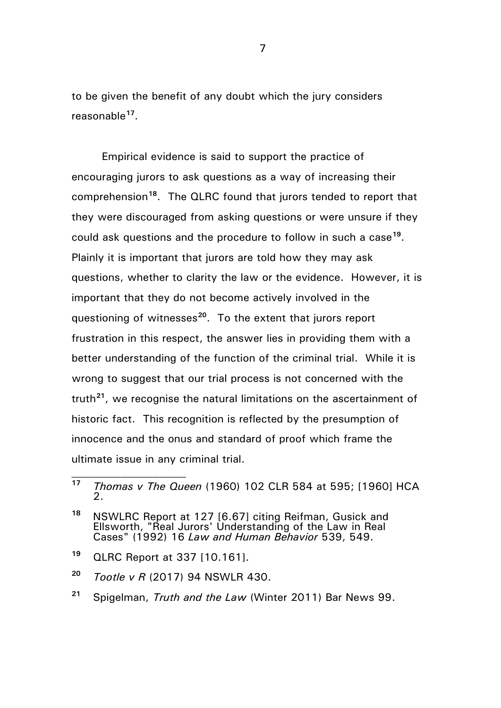to be given the benefit of any doubt which the jury considers reasonable**[17](#page-6-0)**.

Empirical evidence is said to support the practice of encouraging jurors to ask questions as a way of increasing their comprehension**[18](#page-6-1)**. The QLRC found that jurors tended to report that they were discouraged from asking questions or were unsure if they could ask questions and the procedure to follow in such a case**[19](#page-6-2)**. Plainly it is important that jurors are told how they may ask questions, whether to clarity the law or the evidence. However, it is important that they do not become actively involved in the questioning of witnesses**[20](#page-6-3)**. To the extent that jurors report frustration in this respect, the answer lies in providing them with a better understanding of the function of the criminal trial. While it is wrong to suggest that our trial process is not concerned with the truth**[21](#page-6-4)**, we recognise the natural limitations on the ascertainment of historic fact. This recognition is reflected by the presumption of innocence and the onus and standard of proof which frame the ultimate issue in any criminal trial.

<span id="page-6-2"></span>**<sup>19</sup>** QLRC Report at 337 [10.161].

- <span id="page-6-3"></span>**<sup>20</sup>** *Tootle v R* (2017) 94 NSWLR 430.
- <span id="page-6-4"></span>**<sup>21</sup>** Spigelman, *Truth and the Law* (Winter 2011) Bar News 99.

<span id="page-6-0"></span>**<sup>17</sup>** *Thomas v The Queen* (1960) 102 CLR 584 at 595; [1960] HCA  $\mathcal{P}$ 

<span id="page-6-1"></span>**<sup>18</sup>** NSWLRC Report at 127 [6.67] citing Reifman, Gusick and Ellsworth, "Real Jurors' Understanding of the Law in Real Cases" (1992) 16 *Law and Human Behavior* 539, 549.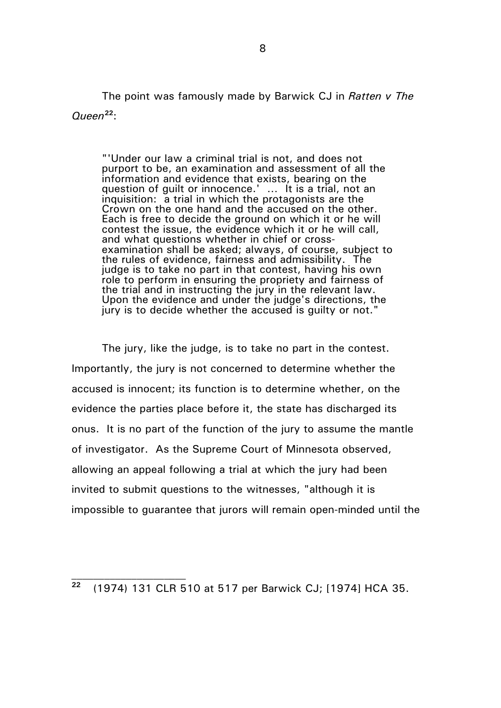The point was famously made by Barwick CJ in *Ratten v The Queen***[22](#page-7-0)**:

"'Under our law a criminal trial is not, and does not purport to be, an examination and assessment of all the information and evidence that exists, bearing on the question of guilt or innocence.' … It is a trial, not an inquisition: a trial in which the protagonists are the Crown on the one hand and the accused on the other. Each is free to decide the ground on which it or he will contest the issue, the evidence which it or he will call, and what questions whether in chief or crossexamination shall be asked; always, of course, subject to the rules of evidence, fairness and admissibility. The judge is to take no part in that contest, having his own role to perform in ensuring the propriety and fairness of the trial and in instructing the jury in the relevant law. Upon the evidence and under the judge's directions, the jury is to decide whether the accused is guilty or not."

The jury, like the judge, is to take no part in the contest. Importantly, the jury is not concerned to determine whether the accused is innocent; its function is to determine whether, on the evidence the parties place before it, the state has discharged its onus. It is no part of the function of the jury to assume the mantle of investigator. As the Supreme Court of Minnesota observed, allowing an appeal following a trial at which the jury had been invited to submit questions to the witnesses, "although it is impossible to guarantee that jurors will remain open-minded until the

<span id="page-7-0"></span>**<sup>22</sup>** (1974) 131 CLR 510 at 517 per Barwick CJ; [1974] HCA 35.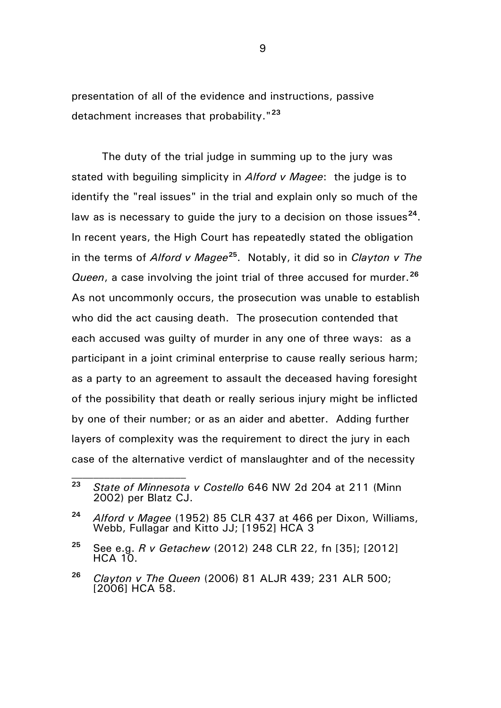presentation of all of the evidence and instructions, passive detachment increases that probability."**[23](#page-8-0)**

The duty of the trial judge in summing up to the jury was stated with beguiling simplicity in *Alford v Magee*: the judge is to identify the "real issues" in the trial and explain only so much of the law as is necessary to quide the jury to a decision on those issues<sup>[24](#page-8-1)</sup>. In recent years, the High Court has repeatedly stated the obligation in the terms of *Alford v Magee***[25](#page-8-2)**. Notably, it did so in *Clayton v The Queen*, a case involving the joint trial of three accused for murder.**[26](#page-8-3)** As not uncommonly occurs, the prosecution was unable to establish who did the act causing death. The prosecution contended that each accused was guilty of murder in any one of three ways: as a participant in a joint criminal enterprise to cause really serious harm; as a party to an agreement to assault the deceased having foresight of the possibility that death or really serious injury might be inflicted by one of their number; or as an aider and abetter. Adding further layers of complexity was the requirement to direct the jury in each case of the alternative verdict of manslaughter and of the necessity

 $\mathcal{L}_\text{max}$ 

<span id="page-8-0"></span>**<sup>23</sup>** *State of Minnesota v Costello* 646 NW 2d 204 at 211 (Minn 2002) per Blatz CJ.

<span id="page-8-1"></span>**<sup>24</sup>** *Alford v Magee* (1952) 85 CLR 437 at 466 per Dixon, Williams, Webb, Fullagar and Kitto JJ; [1952] HCA 3

<span id="page-8-2"></span>**<sup>25</sup>** See e.g. *R v Getachew* (2012) 248 CLR 22, fn [35]; [2012]  $HCA$  10.

<span id="page-8-3"></span>**<sup>26</sup>** *Clayton v The Queen* (2006) 81 ALJR 439; 231 ALR 500; [2006] HCA 58.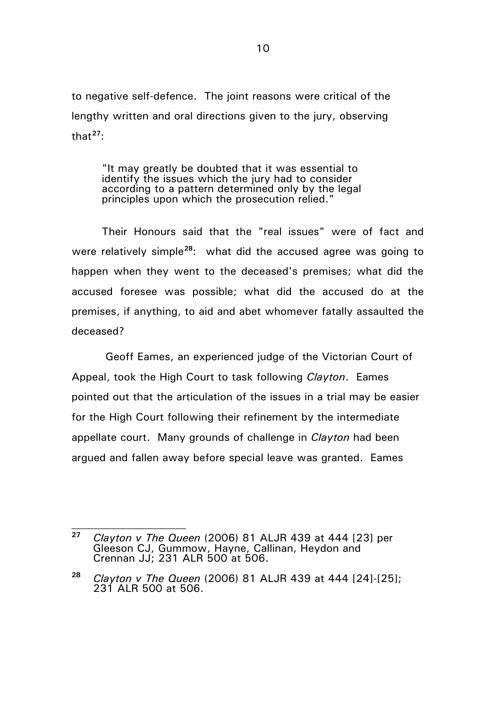to negative self-defence. The joint reasons were critical of the lengthy written and oral directions given to the jury, observing that**[27](#page-9-0)**:

"It may greatly be doubted that it was essential to identify the issues which the jury had to consider according to a pattern determined only by the legal principles upon which the prosecution relied."

Their Honours said that the "real issues" were of fact and were relatively simple**[28](#page-9-1)**: what did the accused agree was going to happen when they went to the deceased's premises; what did the accused foresee was possible; what did the accused do at the premises, if anything, to aid and abet whomever fatally assaulted the deceased?

Geoff Eames, an experienced judge of the Victorian Court of Appeal, took the High Court to task following *Clayton*. Eames pointed out that the articulation of the issues in a trial may be easier for the High Court following their refinement by the intermediate appellate court. Many grounds of challenge in *Clayton* had been argued and fallen away before special leave was granted. Eames

<span id="page-9-0"></span>**<sup>27</sup>** *Clayton v The Queen* (2006) 81 ALJR 439 at 444 [23] per Gleeson CJ, Gummow, Hayne, Callinan, Heydon and Crennan JJ; 231 ALR 500 at 506.

<span id="page-9-1"></span>**<sup>28</sup>** *Clayton v The Queen* (2006) 81 ALJR 439 at 444 [24]-[25]; 231 ALR 500 at 506.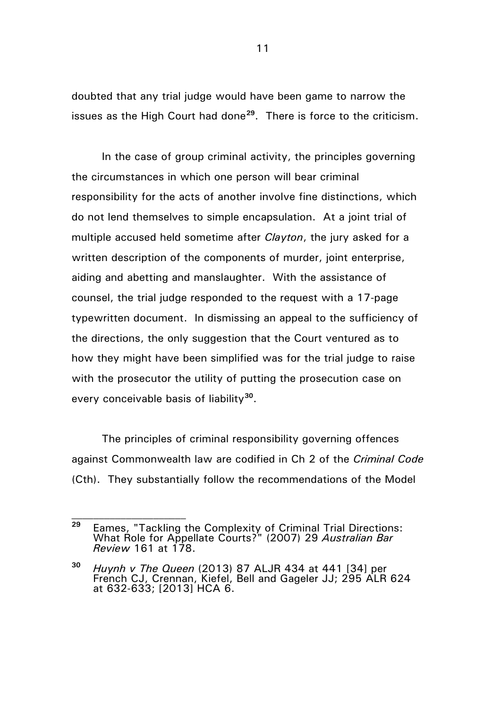doubted that any trial judge would have been game to narrow the issues as the High Court had done**[29](#page-10-0)**. There is force to the criticism.

In the case of group criminal activity, the principles governing the circumstances in which one person will bear criminal responsibility for the acts of another involve fine distinctions, which do not lend themselves to simple encapsulation. At a joint trial of multiple accused held sometime after *Clayton*, the jury asked for a written description of the components of murder, joint enterprise, aiding and abetting and manslaughter. With the assistance of counsel, the trial judge responded to the request with a 17-page typewritten document. In dismissing an appeal to the sufficiency of the directions, the only suggestion that the Court ventured as to how they might have been simplified was for the trial judge to raise with the prosecutor the utility of putting the prosecution case on every conceivable basis of liability**[30](#page-10-1)**.

The principles of criminal responsibility governing offences against Commonwealth law are codified in Ch 2 of the *Criminal Code* (Cth). They substantially follow the recommendations of the Model

 $\mathcal{L}_\text{max}$ 

<span id="page-10-0"></span>**<sup>29</sup>** Eames, "Tackling the Complexity of Criminal Trial Directions: What Role for Appellate Courts?" (2007) 29 *Australian Bar Review* 161 at 178.

<span id="page-10-1"></span>**<sup>30</sup>** *Huynh v The Queen* (2013) 87 ALJR 434 at 441 [34] per French CJ, Crennan, Kiefel, Bell and Gageler JJ; 295 ALR 624 at 632-633; [2013] HCA 6.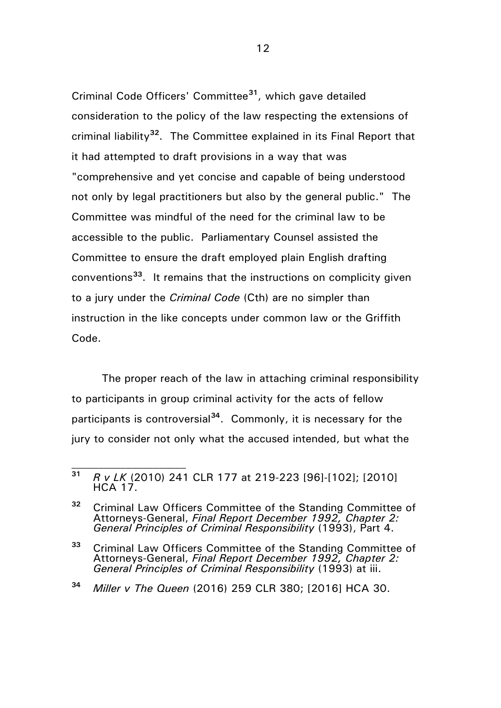Criminal Code Officers' Committee**[31](#page-11-0)**, which gave detailed consideration to the policy of the law respecting the extensions of criminal liability**[32](#page-11-1)**. The Committee explained in its Final Report that it had attempted to draft provisions in a way that was "comprehensive and yet concise and capable of being understood not only by legal practitioners but also by the general public." The Committee was mindful of the need for the criminal law to be accessible to the public. Parliamentary Counsel assisted the Committee to ensure the draft employed plain English drafting conventions**[33](#page-11-2)**. It remains that the instructions on complicity given to a jury under the *Criminal Code* (Cth) are no simpler than instruction in the like concepts under common law or the Griffith Code.

The proper reach of the law in attaching criminal responsibility to participants in group criminal activity for the acts of fellow participants is controversial**[34](#page-11-3)**. Commonly, it is necessary for the jury to consider not only what the accused intended, but what the

<span id="page-11-0"></span>**<sup>31</sup>** *R v LK* (2010) 241 CLR 177 at 219-223 [96]-[102]; [2010] HCA 17.

<span id="page-11-1"></span>**<sup>32</sup>** Criminal Law Officers Committee of the Standing Committee of Attorneys-General, *Final Report December 1992, Chapter 2: General Principles of Criminal Responsibility* (1993), Part 4.

<span id="page-11-2"></span>**<sup>33</sup>** Criminal Law Officers Committee of the Standing Committee of Attorneys-General, *Final Report December 1992, Chapter 2: General Principles of Criminal Responsibility* (1993) at iii.

<span id="page-11-3"></span>**<sup>34</sup>** *Miller v The Queen* (2016) 259 CLR 380; [2016] HCA 30.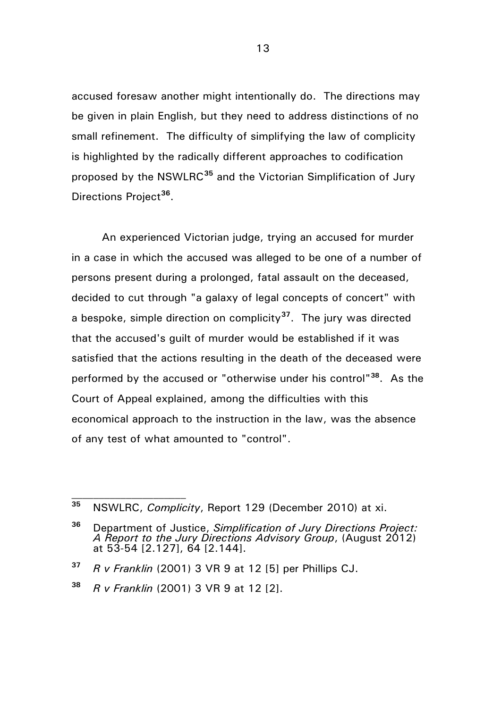accused foresaw another might intentionally do. The directions may be given in plain English, but they need to address distinctions of no small refinement. The difficulty of simplifying the law of complicity is highlighted by the radically different approaches to codification proposed by the NSWLRC**[35](#page-12-0)** and the Victorian Simplification of Jury Directions Project**[36](#page-12-1)**.

An experienced Victorian judge, trying an accused for murder in a case in which the accused was alleged to be one of a number of persons present during a prolonged, fatal assault on the deceased, decided to cut through "a galaxy of legal concepts of concert" with a bespoke, simple direction on complicity**[37](#page-12-2)**. The jury was directed that the accused's guilt of murder would be established if it was satisfied that the actions resulting in the death of the deceased were performed by the accused or "otherwise under his control"**[38](#page-12-3)**. As the Court of Appeal explained, among the difficulties with this economical approach to the instruction in the law, was the absence of any test of what amounted to "control".

<span id="page-12-0"></span>**<sup>35</sup>** NSWLRC, *Complicity*, Report 129 (December 2010) at xi.

<span id="page-12-1"></span>**<sup>36</sup>** Department of Justice, *Simplification of Jury Directions Project: A Report to the Jury Directions Advisory Group*, (August 2012) at 53-54 [2.127], 64 [2.144].

<span id="page-12-2"></span>**<sup>37</sup>** *R v Franklin* (2001) 3 VR 9 at 12 [5] per Phillips CJ.

<span id="page-12-3"></span>**<sup>38</sup>** *R v Franklin* (2001) 3 VR 9 at 12 [2].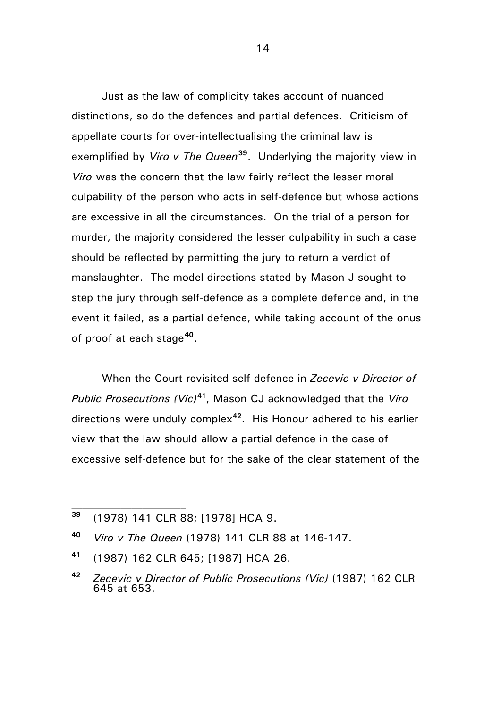Just as the law of complicity takes account of nuanced distinctions, so do the defences and partial defences. Criticism of appellate courts for over-intellectualising the criminal law is exemplified by *Viro v The Queen***[39](#page-13-0)**. Underlying the majority view in *Viro* was the concern that the law fairly reflect the lesser moral culpability of the person who acts in self-defence but whose actions are excessive in all the circumstances. On the trial of a person for murder, the majority considered the lesser culpability in such a case should be reflected by permitting the jury to return a verdict of manslaughter. The model directions stated by Mason J sought to step the jury through self-defence as a complete defence and, in the event it failed, as a partial defence, while taking account of the onus of proof at each stage**[40](#page-13-1)**.

When the Court revisited self-defence in *Zecevic v Director of Public Prosecutions (Vic)***[41](#page-13-2)**, Mason CJ acknowledged that the *Viro* directions were unduly complex**[42](#page-13-3)**. His Honour adhered to his earlier view that the law should allow a partial defence in the case of excessive self-defence but for the sake of the clear statement of the

<span id="page-13-0"></span>**<sup>39</sup>** (1978) 141 CLR 88; [1978] HCA 9.

<span id="page-13-1"></span>**<sup>40</sup>** *Viro v The Queen* (1978) 141 CLR 88 at 146-147.

<span id="page-13-2"></span>**<sup>41</sup>** (1987) 162 CLR 645; [1987] HCA 26.

<span id="page-13-3"></span>**<sup>42</sup>** *Zecevic v Director of Public Prosecutions (Vic)* (1987) 162 CLR 645 at 653.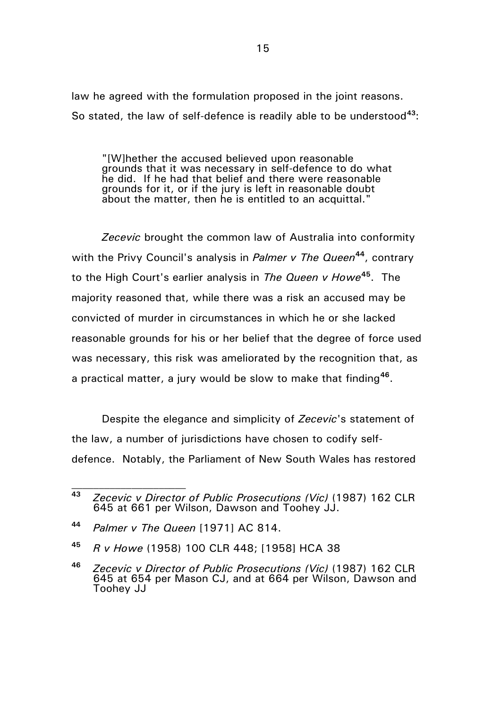law he agreed with the formulation proposed in the joint reasons. So stated, the law of self-defence is readily able to be understood**[43](#page-14-0)**:

"[W]hether the accused believed upon reasonable grounds that it was necessary in self-defence to do what he did. If he had that belief and there were reasonable grounds for it, or if the jury is left in reasonable doubt about the matter, then he is entitled to an acquittal."

*Zecevic* brought the common law of Australia into conformity with the Privy Council's analysis in *Palmer v The Queen***[44](#page-14-1)**, contrary to the High Court's earlier analysis in *The Queen v Howe***[45](#page-14-2)**. The majority reasoned that, while there was a risk an accused may be convicted of murder in circumstances in which he or she lacked reasonable grounds for his or her belief that the degree of force used was necessary, this risk was ameliorated by the recognition that, as a practical matter, a jury would be slow to make that finding**[46](#page-14-3)**.

Despite the elegance and simplicity of *Zecevic*'s statement of the law, a number of jurisdictions have chosen to codify selfdefence. Notably, the Parliament of New South Wales has restored

<span id="page-14-0"></span>**<sup>43</sup>** *Zecevic v Director of Public Prosecutions (Vic)* (1987) 162 CLR 645 at 661 per Wilson, Dawson and Toohey JJ.

<span id="page-14-1"></span>**<sup>44</sup>** *Palmer v The Queen* [1971] AC 814.

<span id="page-14-2"></span>**<sup>45</sup>** *R v Howe* (1958) 100 CLR 448; [1958] HCA 38

<span id="page-14-3"></span>**<sup>46</sup>** *Zecevic v Director of Public Prosecutions (Vic)* (1987) 162 CLR 645 at 654 per Mason CJ, and at 664 per Wilson, Dawson and Toohey JJ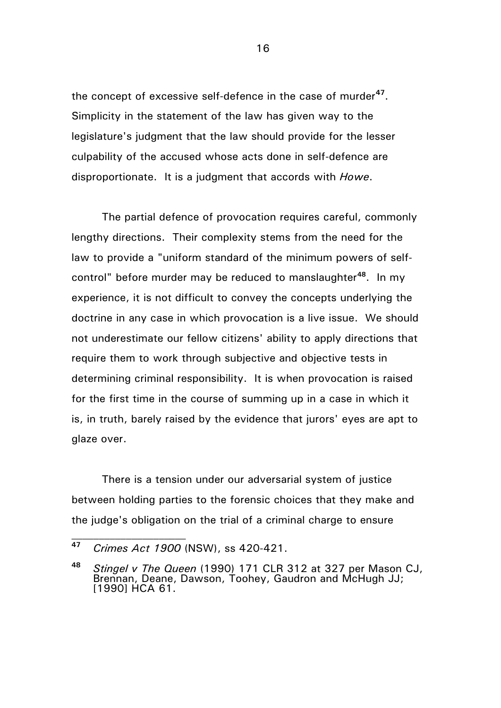the concept of excessive self-defence in the case of murder**[47](#page-15-0)**. Simplicity in the statement of the law has given way to the legislature's judgment that the law should provide for the lesser culpability of the accused whose acts done in self-defence are disproportionate. It is a judgment that accords with *Howe*.

The partial defence of provocation requires careful, commonly lengthy directions. Their complexity stems from the need for the law to provide a "uniform standard of the minimum powers of selfcontrol" before murder may be reduced to manslaughter**[48](#page-15-1)**. In my experience, it is not difficult to convey the concepts underlying the doctrine in any case in which provocation is a live issue. We should not underestimate our fellow citizens' ability to apply directions that require them to work through subjective and objective tests in determining criminal responsibility. It is when provocation is raised for the first time in the course of summing up in a case in which it is, in truth, barely raised by the evidence that jurors' eyes are apt to glaze over.

There is a tension under our adversarial system of justice between holding parties to the forensic choices that they make and the judge's obligation on the trial of a criminal charge to ensure

<span id="page-15-0"></span>**<sup>47</sup>** *Crimes Act 1900* (NSW), ss 420-421.

<span id="page-15-1"></span>**<sup>48</sup>** *Stingel v The Queen* (1990) 171 CLR 312 at 327 per Mason CJ, Brennan, Deane, Dawson, Toohey, Gaudron and McHugh JJ; [1990] HCA 61.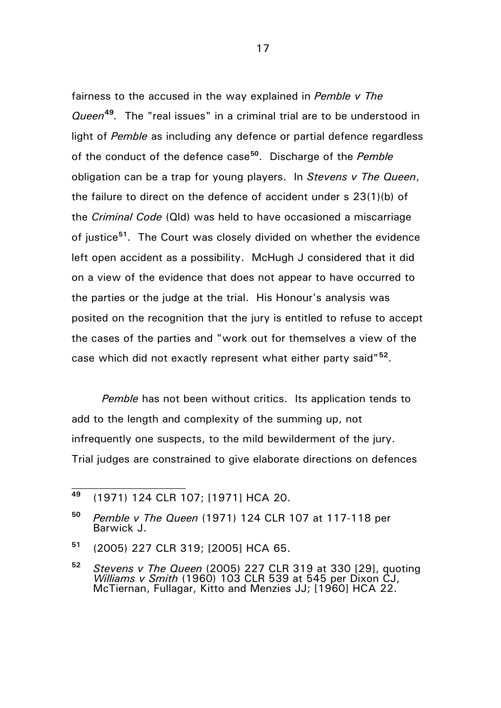fairness to the accused in the way explained in *Pemble v The Queen***[49](#page-16-0)***.* The "real issues" in a criminal trial are to be understood in light of *Pemble* as including any defence or partial defence regardless of the conduct of the defence case**[50](#page-16-1)**. Discharge of the *Pemble* obligation can be a trap for young players. In *Stevens v The Queen*, the failure to direct on the defence of accident under s 23(1)(b) of the *Criminal Code* (Qld) was held to have occasioned a miscarriage of justice**[51](#page-16-2)**. The Court was closely divided on whether the evidence left open accident as a possibility. McHugh J considered that it did on a view of the evidence that does not appear to have occurred to the parties or the judge at the trial. His Honour's analysis was posited on the recognition that the jury is entitled to refuse to accept the cases of the parties and "work out for themselves a view of the case which did not exactly represent what either party said"**[52](#page-16-3)**.

*Pemble* has not been without critics. Its application tends to add to the length and complexity of the summing up, not infrequently one suspects, to the mild bewilderment of the jury. Trial judges are constrained to give elaborate directions on defences

 $\mathcal{L}_\text{max}$ 

<span id="page-16-2"></span>**<sup>51</sup>** (2005) 227 CLR 319; [2005] HCA 65.

<span id="page-16-0"></span>**<sup>49</sup>** (1971) 124 CLR 107; [1971] HCA 20.

<span id="page-16-1"></span>**<sup>50</sup>** *Pemble v The Queen* (1971) 124 CLR 107 at 117-118 per Barwick J.

<span id="page-16-3"></span>**<sup>52</sup>** *Stevens v The Queen* (2005) 227 CLR 319 at 330 [29], quoting *Williams v Smith* (1960) 103 CLR 539 at 545 per Dixon CJ, McTiernan, Fullagar, Kitto and Menzies JJ; [1960] HCA 22.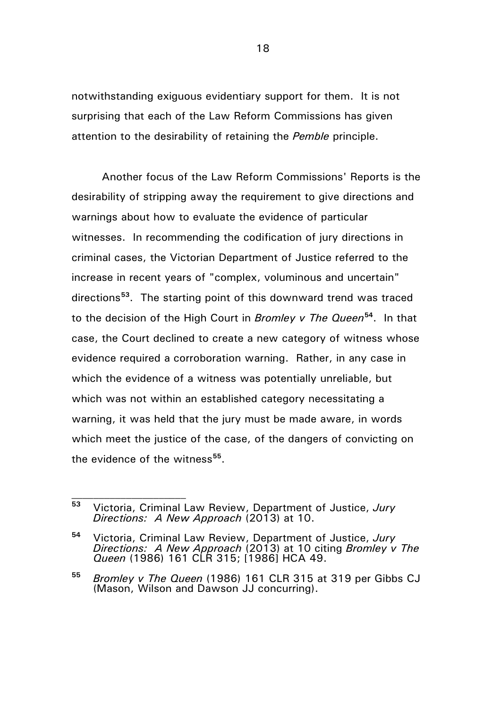notwithstanding exiguous evidentiary support for them. It is not surprising that each of the Law Reform Commissions has given attention to the desirability of retaining the *Pemble* principle.

Another focus of the Law Reform Commissions' Reports is the desirability of stripping away the requirement to give directions and warnings about how to evaluate the evidence of particular witnesses. In recommending the codification of jury directions in criminal cases, the Victorian Department of Justice referred to the increase in recent years of "complex, voluminous and uncertain" directions**[53](#page-17-0)**. The starting point of this downward trend was traced to the decision of the High Court in *Bromley v The Queen***[54](#page-17-1)**. In that case, the Court declined to create a new category of witness whose evidence required a corroboration warning. Rather, in any case in which the evidence of a witness was potentially unreliable, but which was not within an established category necessitating a warning, it was held that the jury must be made aware, in words which meet the justice of the case, of the dangers of convicting on the evidence of the witness**[55](#page-17-2)**.

<span id="page-17-0"></span>**<sup>53</sup>** Victoria, Criminal Law Review, Department of Justice, *Jury Directions: A New Approach* (2013) at 10.

<span id="page-17-1"></span>**<sup>54</sup>** Victoria, Criminal Law Review, Department of Justice, *Jury Directions: A New Approach* (2013) at 10 citing *Bromley v The Queen* (1986) 161 CLR 315; [1986] HCA 49.

<span id="page-17-2"></span>**<sup>55</sup>** *Bromley v The Queen* (1986) 161 CLR 315 at 319 per Gibbs CJ (Mason, Wilson and Dawson JJ concurring).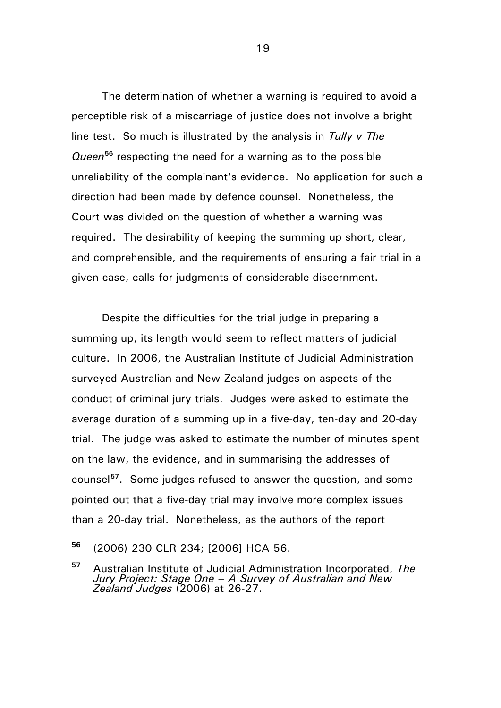The determination of whether a warning is required to avoid a perceptible risk of a miscarriage of justice does not involve a bright line test. So much is illustrated by the analysis in *Tully v The Queen***[56](#page-18-0)** respecting the need for a warning as to the possible unreliability of the complainant's evidence. No application for such a direction had been made by defence counsel. Nonetheless, the Court was divided on the question of whether a warning was required. The desirability of keeping the summing up short, clear, and comprehensible, and the requirements of ensuring a fair trial in a given case, calls for judgments of considerable discernment.

Despite the difficulties for the trial judge in preparing a summing up, its length would seem to reflect matters of judicial culture. In 2006, the Australian Institute of Judicial Administration surveyed Australian and New Zealand judges on aspects of the conduct of criminal jury trials. Judges were asked to estimate the average duration of a summing up in a five-day, ten-day and 20-day trial. The judge was asked to estimate the number of minutes spent on the law, the evidence, and in summarising the addresses of counsel**[57](#page-18-1)**. Some judges refused to answer the question, and some pointed out that a five-day trial may involve more complex issues than a 20-day trial. Nonetheless, as the authors of the report

<span id="page-18-0"></span>**<sup>56</sup>** (2006) 230 CLR 234; [2006] HCA 56.

<span id="page-18-1"></span>**<sup>57</sup>** Australian Institute of Judicial Administration Incorporated, *The Jury Project: Stage One – A Survey of Australian and New Zealand Judges* (2006) at 26-27.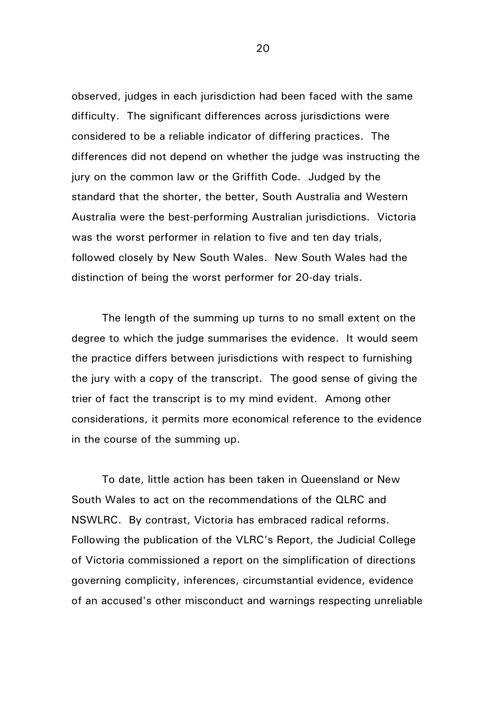observed, judges in each jurisdiction had been faced with the same difficulty. The significant differences across jurisdictions were considered to be a reliable indicator of differing practices. The differences did not depend on whether the judge was instructing the jury on the common law or the Griffith Code. Judged by the standard that the shorter, the better, South Australia and Western Australia were the best-performing Australian jurisdictions. Victoria was the worst performer in relation to five and ten day trials, followed closely by New South Wales. New South Wales had the distinction of being the worst performer for 20-day trials.

The length of the summing up turns to no small extent on the degree to which the judge summarises the evidence. It would seem the practice differs between jurisdictions with respect to furnishing the jury with a copy of the transcript. The good sense of giving the trier of fact the transcript is to my mind evident. Among other considerations, it permits more economical reference to the evidence in the course of the summing up.

To date, little action has been taken in Queensland or New South Wales to act on the recommendations of the QLRC and NSWLRC. By contrast, Victoria has embraced radical reforms. Following the publication of the VLRC's Report, the Judicial College of Victoria commissioned a report on the simplification of directions governing complicity, inferences, circumstantial evidence, evidence of an accused's other misconduct and warnings respecting unreliable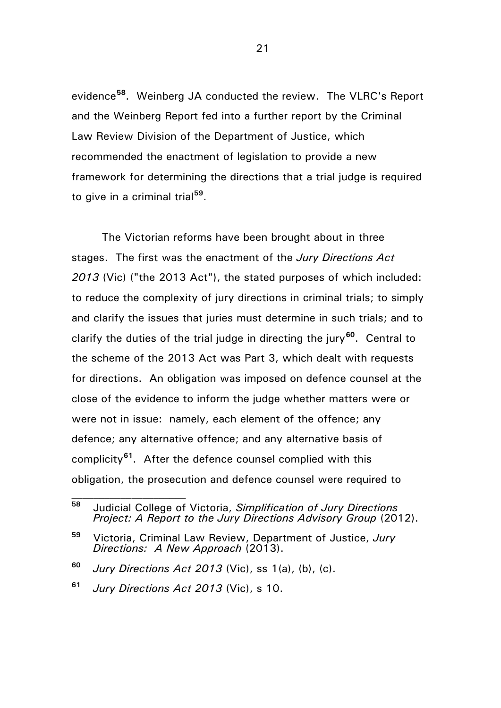evidence**[58](#page-20-0)**. Weinberg JA conducted the review. The VLRC's Report and the Weinberg Report fed into a further report by the Criminal Law Review Division of the Department of Justice, which recommended the enactment of legislation to provide a new framework for determining the directions that a trial judge is required to give in a criminal trial**[59](#page-20-1)**.

The Victorian reforms have been brought about in three stages. The first was the enactment of the *Jury Directions Act 2013* (Vic) ("the 2013 Act"), the stated purposes of which included: to reduce the complexity of jury directions in criminal trials; to simply and clarify the issues that juries must determine in such trials; and to clarify the duties of the trial judge in directing the jury**[60](#page-20-2)**. Central to the scheme of the 2013 Act was Part 3, which dealt with requests for directions. An obligation was imposed on defence counsel at the close of the evidence to inform the judge whether matters were or were not in issue: namely, each element of the offence; any defence; any alternative offence; and any alternative basis of complicity**[61](#page-20-3)**. After the defence counsel complied with this obligation, the prosecution and defence counsel were required to

<span id="page-20-0"></span>**<sup>58</sup>** Judicial College of Victoria, *Simplification of Jury Directions Project: A Report to the Jury Directions Advisory Group* (2012).

<span id="page-20-1"></span>**<sup>59</sup>** Victoria, Criminal Law Review, Department of Justice, *Jury Directions: A New Approach* (2013).

<span id="page-20-2"></span>**<sup>60</sup>** *Jury Directions Act 2013* (Vic), ss 1(a), (b), (c).

<span id="page-20-3"></span>**<sup>61</sup>** *Jury Directions Act 2013* (Vic), s 10.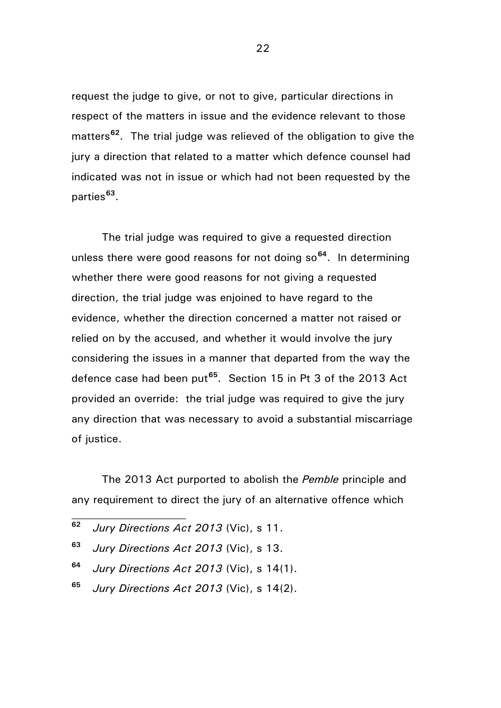request the judge to give, or not to give, particular directions in respect of the matters in issue and the evidence relevant to those matters**[62](#page-21-0)**. The trial judge was relieved of the obligation to give the jury a direction that related to a matter which defence counsel had indicated was not in issue or which had not been requested by the parties**[63](#page-21-1)**.

The trial judge was required to give a requested direction unless there were good reasons for not doing so**[64](#page-21-2)**. In determining whether there were good reasons for not giving a requested direction, the trial judge was enjoined to have regard to the evidence, whether the direction concerned a matter not raised or relied on by the accused, and whether it would involve the jury considering the issues in a manner that departed from the way the defence case had been put**[65](#page-21-3)**. Section 15 in Pt 3 of the 2013 Act provided an override: the trial judge was required to give the jury any direction that was necessary to avoid a substantial miscarriage of justice.

The 2013 Act purported to abolish the *Pemble* principle and any requirement to direct the jury of an alternative offence which

<span id="page-21-0"></span>**<sup>62</sup>** *Jury Directions Act 2013* (Vic), s 11.

- <span id="page-21-1"></span>**<sup>63</sup>** *Jury Directions Act 2013* (Vic), s 13.
- <span id="page-21-2"></span>**<sup>64</sup>** *Jury Directions Act 2013* (Vic), s 14(1).
- <span id="page-21-3"></span>**<sup>65</sup>** *Jury Directions Act 2013* (Vic), s 14(2).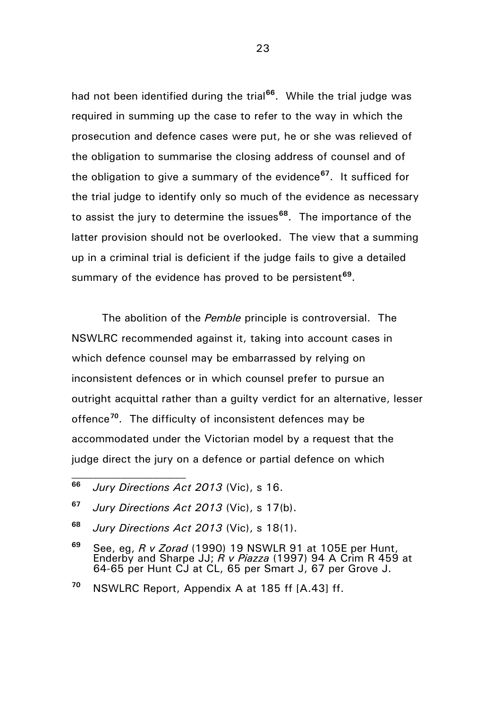had not been identified during the trial<sup>[66](#page-22-0)</sup>. While the trial judge was required in summing up the case to refer to the way in which the prosecution and defence cases were put, he or she was relieved of the obligation to summarise the closing address of counsel and of the obligation to give a summary of the evidence**[67](#page-22-1)**. It sufficed for the trial judge to identify only so much of the evidence as necessary to assist the jury to determine the issues**[68](#page-22-2)**. The importance of the latter provision should not be overlooked. The view that a summing up in a criminal trial is deficient if the judge fails to give a detailed summary of the evidence has proved to be persistent**[69](#page-22-3)**.

The abolition of the *Pemble* principle is controversial. The NSWLRC recommended against it, taking into account cases in which defence counsel may be embarrassed by relying on inconsistent defences or in which counsel prefer to pursue an outright acquittal rather than a guilty verdict for an alternative, lesser offence**[70](#page-22-4)**. The difficulty of inconsistent defences may be accommodated under the Victorian model by a request that the judge direct the jury on a defence or partial defence on which

 $\mathcal{L}_\text{max}$ 

<span id="page-22-0"></span>**<sup>66</sup>** *Jury Directions Act 2013* (Vic), s 16.

<span id="page-22-1"></span>**<sup>67</sup>** *Jury Directions Act 2013* (Vic), s 17(b).

<span id="page-22-2"></span>**<sup>68</sup>** *Jury Directions Act 2013* (Vic), s 18(1).

<span id="page-22-3"></span>**<sup>69</sup>** See, eg, *R v Zorad* (1990) 19 NSWLR 91 at 105E per Hunt, Enderby and Sharpe JJ; *R v Piazza* (1997) 94 A Crim R 459 at 64-65 per Hunt CJ at CL, 65 per Smart J, 67 per Grove J.

<span id="page-22-4"></span>**<sup>70</sup>** NSWLRC Report, Appendix A at 185 ff [A.43] ff.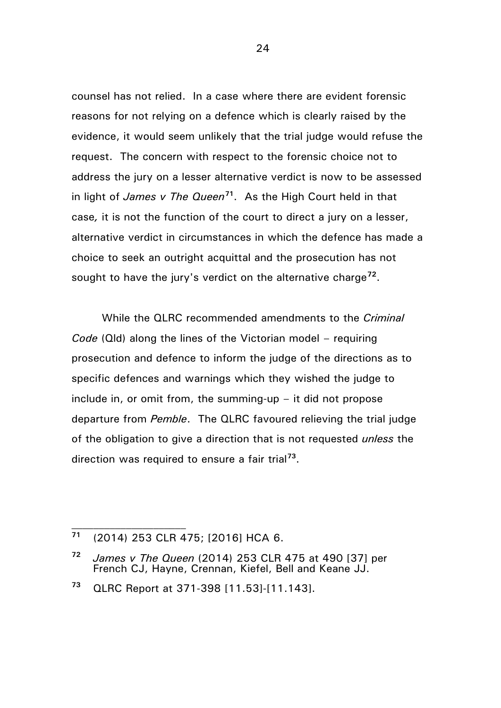counsel has not relied. In a case where there are evident forensic reasons for not relying on a defence which is clearly raised by the evidence, it would seem unlikely that the trial judge would refuse the request. The concern with respect to the forensic choice not to address the jury on a lesser alternative verdict is now to be assessed in light of *James v The Queen***[71](#page-23-0)**. As the High Court held in that case*,* it is not the function of the court to direct a jury on a lesser, alternative verdict in circumstances in which the defence has made a choice to seek an outright acquittal and the prosecution has not sought to have the jury's verdict on the alternative charge**[72](#page-23-1)**.

While the QLRC recommended amendments to the *Criminal Code* (Qld) along the lines of the Victorian model – requiring prosecution and defence to inform the judge of the directions as to specific defences and warnings which they wished the judge to include in, or omit from, the summing-up – it did not propose departure from *Pemble*. The QLRC favoured relieving the trial judge of the obligation to give a direction that is not requested *unless* the direction was required to ensure a fair trial**[73](#page-23-2)**.

 $\mathcal{L}_\text{max}$ 

<span id="page-23-0"></span>**<sup>71</sup>** (2014) 253 CLR 475; [2016] HCA 6.

<span id="page-23-1"></span>**<sup>72</sup>** *James v The Queen* (2014) 253 CLR 475 at 490 [37] per French CJ, Hayne, Crennan, Kiefel, Bell and Keane JJ.

<span id="page-23-2"></span>**<sup>73</sup>** QLRC Report at 371-398 [11.53]-[11.143].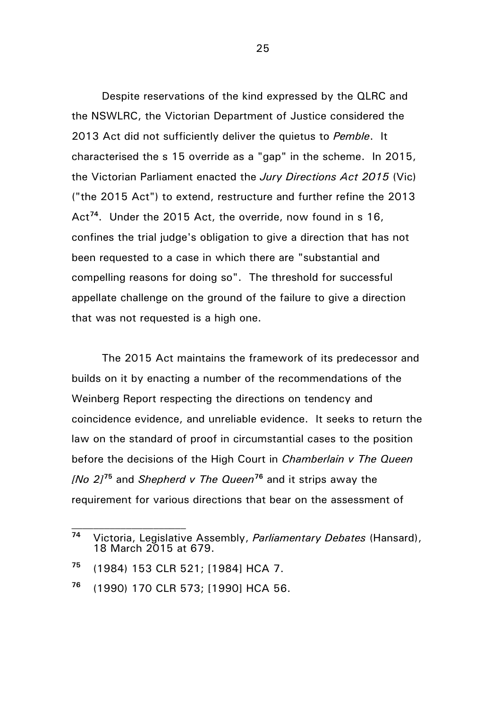Despite reservations of the kind expressed by the QLRC and the NSWLRC, the Victorian Department of Justice considered the 2013 Act did not sufficiently deliver the quietus to *Pemble*. It characterised the s 15 override as a "gap" in the scheme. In 2015, the Victorian Parliament enacted the *Jury Directions Act 2015* (Vic) ("the 2015 Act") to extend, restructure and further refine the 2013 Act**[74](#page-24-0)**. Under the 2015 Act, the override, now found in s 16, confines the trial judge's obligation to give a direction that has not been requested to a case in which there are "substantial and compelling reasons for doing so". The threshold for successful appellate challenge on the ground of the failure to give a direction that was not requested is a high one.

The 2015 Act maintains the framework of its predecessor and builds on it by enacting a number of the recommendations of the Weinberg Report respecting the directions on tendency and coincidence evidence, and unreliable evidence. It seeks to return the law on the standard of proof in circumstantial cases to the position before the decisions of the High Court in *Chamberlain v The Queen [No 2]***[75](#page-24-1)** and *Shepherd v The Queen***[76](#page-24-2)** and it strips away the requirement for various directions that bear on the assessment of

 $\mathcal{L}_\text{max}$ 

<span id="page-24-0"></span>**<sup>74</sup>** Victoria, Legislative Assembly, *Parliamentary Debates* (Hansard), 18 March 2015 at 679.

<span id="page-24-1"></span>**<sup>75</sup>** (1984) 153 CLR 521; [1984] HCA 7.

<span id="page-24-2"></span>**<sup>76</sup>** (1990) 170 CLR 573; [1990] HCA 56.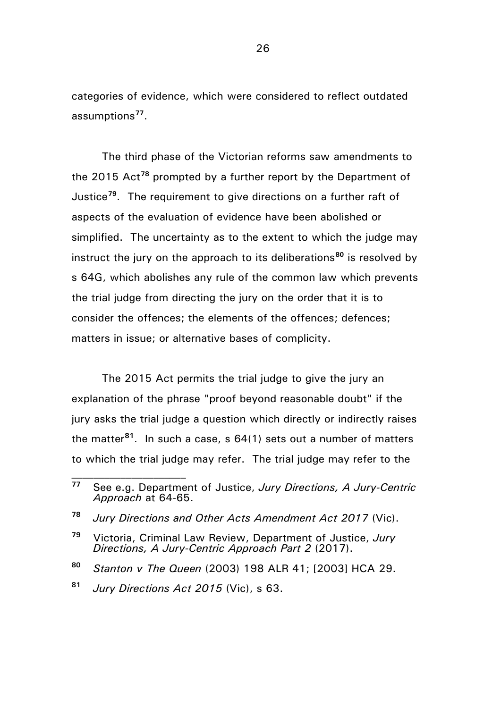categories of evidence, which were considered to reflect outdated assumptions**[77](#page-25-0)**.

The third phase of the Victorian reforms saw amendments to the 2015 Act**[78](#page-25-1)** prompted by a further report by the Department of Justice**[79](#page-25-2)**. The requirement to give directions on a further raft of aspects of the evaluation of evidence have been abolished or simplified. The uncertainty as to the extent to which the judge may instruct the jury on the approach to its deliberations**[80](#page-25-3)** is resolved by s 64G, which abolishes any rule of the common law which prevents the trial judge from directing the jury on the order that it is to consider the offences; the elements of the offences; defences; matters in issue; or alternative bases of complicity.

The 2015 Act permits the trial judge to give the jury an explanation of the phrase "proof beyond reasonable doubt" if the jury asks the trial judge a question which directly or indirectly raises the matter**[81](#page-25-4)**. In such a case, s 64(1) sets out a number of matters to which the trial judge may refer. The trial judge may refer to the

<span id="page-25-0"></span>**<sup>77</sup>** See e.g. Department of Justice, *Jury Directions, A Jury-Centric Approach* at 64-65.

<span id="page-25-1"></span>**<sup>78</sup>** *Jury Directions and Other Acts Amendment Act 2017* (Vic).

<span id="page-25-2"></span>**<sup>79</sup>** Victoria, Criminal Law Review, Department of Justice, *Jury Directions, A Jury-Centric Approach Part 2* (2017).

<span id="page-25-3"></span>**<sup>80</sup>** *Stanton v The Queen* (2003) 198 ALR 41; [2003] HCA 29.

<span id="page-25-4"></span>**<sup>81</sup>** *Jury Directions Act 2015* (Vic), s 63.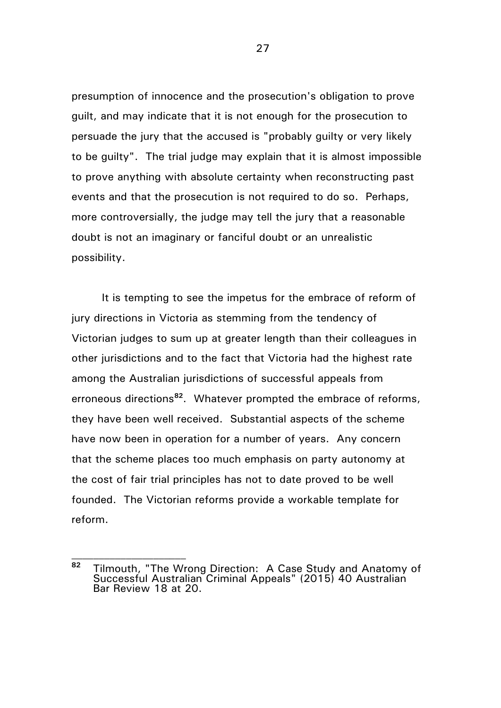presumption of innocence and the prosecution's obligation to prove guilt, and may indicate that it is not enough for the prosecution to persuade the jury that the accused is "probably guilty or very likely to be guilty". The trial judge may explain that it is almost impossible to prove anything with absolute certainty when reconstructing past events and that the prosecution is not required to do so. Perhaps, more controversially, the judge may tell the jury that a reasonable doubt is not an imaginary or fanciful doubt or an unrealistic possibility.

It is tempting to see the impetus for the embrace of reform of jury directions in Victoria as stemming from the tendency of Victorian judges to sum up at greater length than their colleagues in other jurisdictions and to the fact that Victoria had the highest rate among the Australian jurisdictions of successful appeals from erroneous directions**[82](#page-26-0)**. Whatever prompted the embrace of reforms, they have been well received. Substantial aspects of the scheme have now been in operation for a number of years. Any concern that the scheme places too much emphasis on party autonomy at the cost of fair trial principles has not to date proved to be well founded. The Victorian reforms provide a workable template for reform.

 $\mathcal{L}_\text{max}$ 

<span id="page-26-0"></span>**<sup>82</sup>** Tilmouth, "The Wrong Direction: A Case Study and Anatomy of Successful Australian Criminal Appeals" (2015) 40 Australian Bar Review 18 at 20.